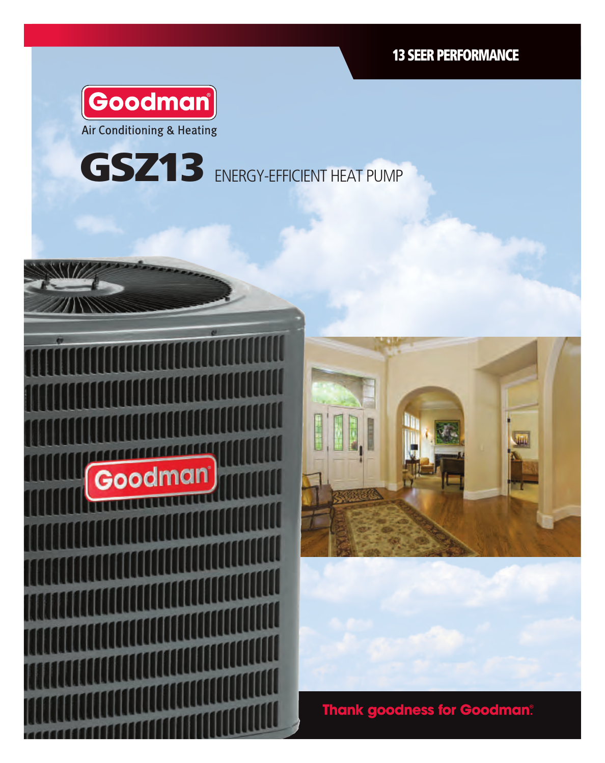







**Thank goodness for Goodman®**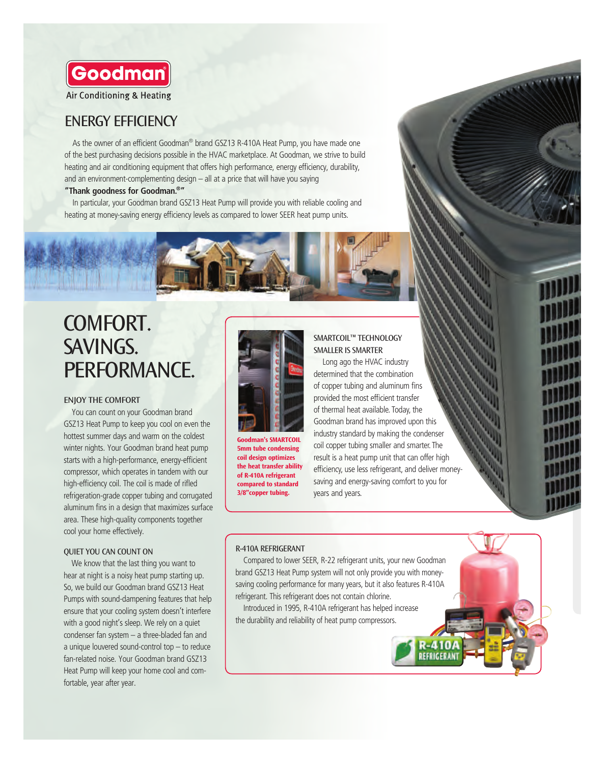

### ENERGY EFFICIENCY

As the owner of an efficient Goodman® brand GSZ13 R-410A Heat Pump, you have made one of the best purchasing decisions possible in the HVAC marketplace. At Goodman, we strive to build heating and air conditioning equipment that offers high performance, energy efficiency, durability, and an environment-complementing design – all at a price that will have you saying

### **"Thank goodness for Goodman.®"**

In particular, your Goodman brand GSZ13 Heat Pump will provide you with reliable cooling and heating at money-saving energy efficiency levels as compared to lower SEER heat pump units.



# COMFORT. SAVINGS. PERFORMANCE.

#### ENJOY THE COMFORT

You can count on your Goodman brand GSZ13 Heat Pump to keep you cool on even the hottest summer days and warm on the coldest winter nights. Your Goodman brand heat pump starts with a high-performance, energy-efficient compressor, which operates in tandem with our high-efficiency coil. The coil is made of rifled refrigeration-grade copper tubing and corrugated aluminum fins in a design that maximizes surface area. These high-quality components together cool your home effectively.

#### QUIET YOU CAN COUNT ON

We know that the last thing you want to hear at night is a noisy heat pump starting up. So, we build our Goodman brand GSZ13 Heat Pumps with sound-dampening features that help ensure that your cooling system doesn't interfere with a good night's sleep. We rely on a quiet condenser fan system – a three-bladed fan and a unique louvered sound-control top – to reduce fan-related noise. Your Goodman brand GSZ13 Heat Pump will keep your home cool and comfortable, year after year.



**Goodman's SMARTCOIL 5mm tube condensing coil design optimizes the heat transfer ability of R-410A refrigerant compared to standard 3/8"copper tubing.**

### SMARTCOIL™ TECHNOLOGY SMALLER IS SMARTER

 Long ago the HVAC industry determined that the combination of copper tubing and aluminum fins provided the most efficient transfer of thermal heat available. Today, the Goodman brand has improved upon this industry standard by making the condenser coil copper tubing smaller and smarter. The result is a heat pump unit that can offer high efficiency, use less refrigerant, and deliver moneysaving and energy-saving comfort to you for years and years.

> R-410 REFRIGERAN

#### R-410A REFRIGERANT

Compared to lower SEER, R-22 refrigerant units, your new Goodman brand GSZ13 Heat Pump system will not only provide you with moneysaving cooling performance for many years, but it also features R-410A refrigerant. This refrigerant does not contain chlorine.

Introduced in 1995, R-410A refrigerant has helped increase the durability and reliability of heat pump compressors.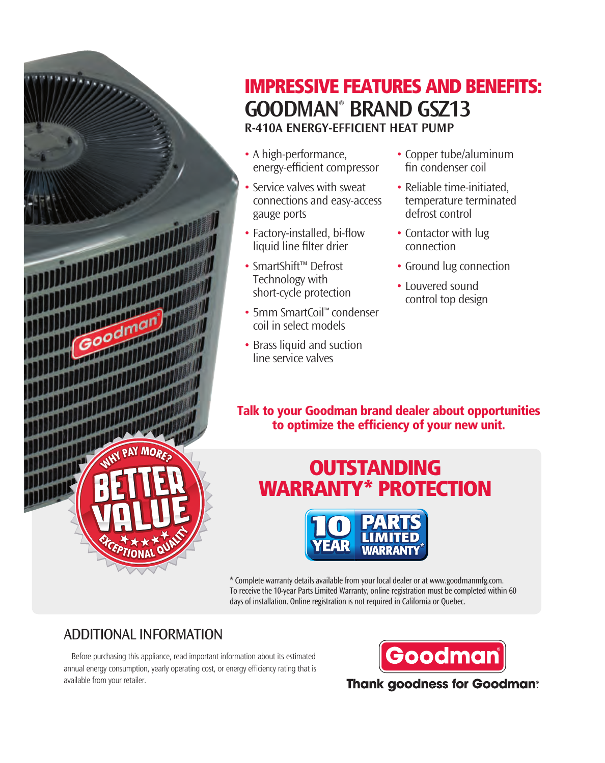

## IMPRESSIVE FEATURES AND BENEFITS: **GOODMAN® BRAND GSZ13 R-410A ENERGY-EFFICIENT HEAT PUMP**

- A high-performance, energy-efficient compressor
- Service valves with sweat connections and easy-access gauge ports
- Factory-installed, bi-flow liquid line filter drier
- SmartShift™ Defrost Technology with short-cycle protection
- 5mm SmartCoil™ condenser coil in select models
- Brass liquid and suction line service valves
- Copper tube/aluminum fin condenser coil
- Reliable time-initiated, temperature terminated defrost control
- Contactor with lug connection
- Ground lug connection
- Louvered sound control top design

Talk to your Goodman brand dealer about opportunities to optimize the efficiency of your new unit.

# **OUTSTANDING** WARRANTY\* PROTECTION



\* Complete warranty details available from your local dealer or at www.goodmanmfg.com. To receive the 10-year Parts Limited Warranty, online registration must be completed within 60 days of installation. Online registration is not required in California or Quebec.

## ADDITIONAL INFORMATION

Before purchasing this appliance, read important information about its estimated annual energy consumption, yearly operating cost, or energy efficiency rating that is available from your retailer.



**Thank goodness for Goodman:**